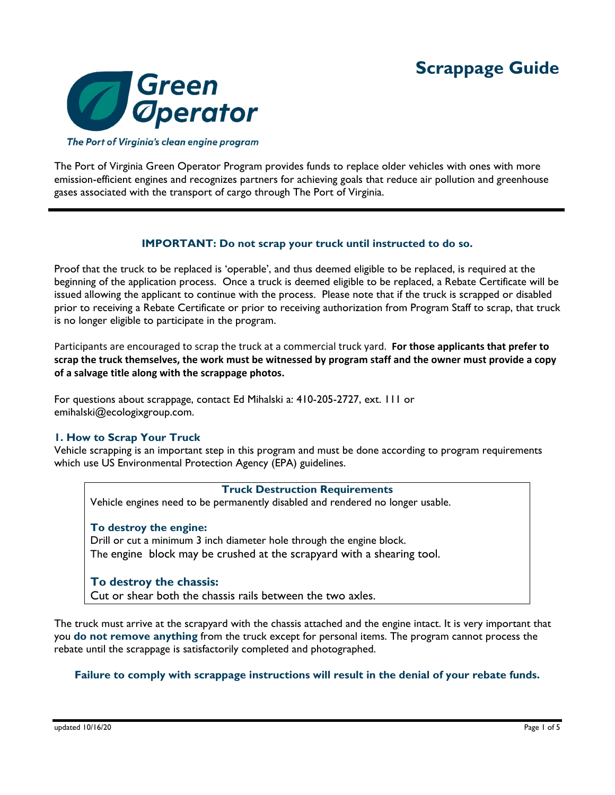

The Port of Virginia's clean engine program

The Port of Virginia Green Operator Program provides funds to replace older vehicles with ones with more emission-efficient engines and recognizes partners for achieving goals that reduce air pollution and greenhouse gases associated with the transport of cargo through The Port of Virginia.

# **IMPORTANT: Do not scrap your truck until instructed to do so.**

Proof that the truck to be replaced is 'operable', and thus deemed eligible to be replaced, is required at the beginning of the application process. Once a truck is deemed eligible to be replaced, a Rebate Certificate will be issued allowing the applicant to continue with the process. Please note that if the truck is scrapped or disabled prior to receiving a Rebate Certificate or prior to receiving authorization from Program Staff to scrap, that truck is no longer eligible to participate in the program.

Participants are encouraged to scrap the truck at a commercial truck yard. **For those applicants that prefer to** scrap the truck themselves, the work must be witnessed by program staff and the owner must provide a copy **of a salvage title along with the scrappage photos.** 

For questions about scrappage, contact Ed Mihalski a: 410-205-2727, ext. 111 or emihalski@ecologixgroup.com.

## **1. How to Scrap Your Truck**

Vehicle scrapping is an important step in this program and must be done according to program requirements which use US Environmental Protection Agency (EPA) guidelines.

#### **Truck Destruction Requirements**

Vehicle engines need to be permanently disabled and rendered no longer usable.

## **To destroy the engine:**

Drill or cut a minimum 3 inch diameter hole through the engine block. The engine block may be crushed at the scrapyard with a shearing tool.

## **To destroy the chassis:**

Cut or shear both the chassis rails between the two axles.

The truck must arrive at the scrapyard with the chassis attached and the engine intact. It is very important that you **do not remove anything** from the truck except for personal items. The program cannot process the rebate until the scrappage is satisfactorily completed and photographed.

## **Failure to comply with scrappage instructions will result in the denial of your rebate funds.**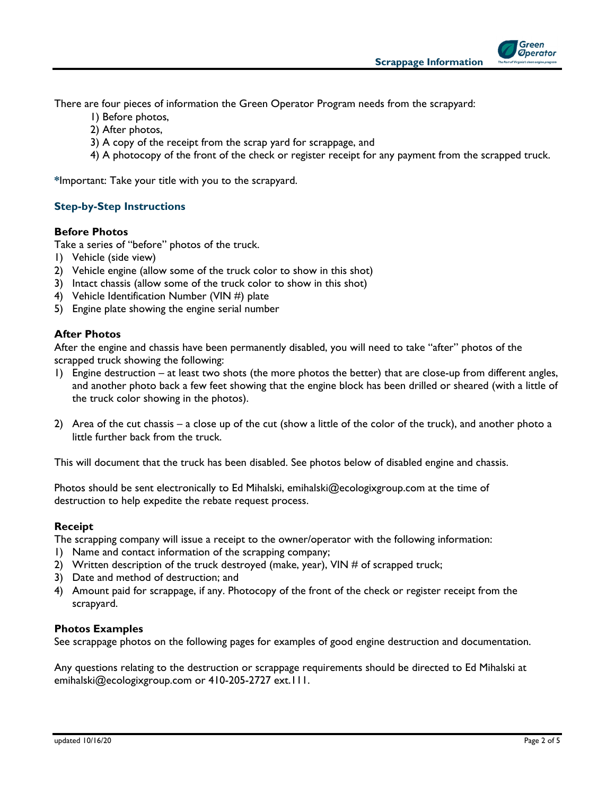

Green **Operator** 

There are four pieces of information the Green Operator Program needs from the scrapyard:

- 1) Before photos,
- 2) After photos,
- 3) A copy of the receipt from the scrap yard for scrappage, and
- 4) A photocopy of the front of the check or register receipt for any payment from the scrapped truck.

**\***Important: Take your title with you to the scrapyard.

# **Step-by-Step Instructions**

## **Before Photos**

Take a series of "before" photos of the truck.

- 1) Vehicle (side view)
- 2) Vehicle engine (allow some of the truck color to show in this shot)
- 3) Intact chassis (allow some of the truck color to show in this shot)
- 4) Vehicle Identification Number (VIN #) plate
- 5) Engine plate showing the engine serial number

## **After Photos**

After the engine and chassis have been permanently disabled, you will need to take "after" photos of the scrapped truck showing the following:

- 1) Engine destruction at least two shots (the more photos the better) that are close-up from different angles, and another photo back a few feet showing that the engine block has been drilled or sheared (with a little of the truck color showing in the photos).
- 2) Area of the cut chassis a close up of the cut (show a little of the color of the truck), and another photo a little further back from the truck.

This will document that the truck has been disabled. See photos below of disabled engine and chassis.

Photos should be sent electronically to Ed Mihalski, emihalski@ecologixgroup.com at the time of destruction to help expedite the rebate request process.

#### **Receipt**

The scrapping company will issue a receipt to the owner/operator with the following information:

- 1) Name and contact information of the scrapping company;
- 2) Written description of the truck destroyed (make, year), VIN  $#$  of scrapped truck;
- 3) Date and method of destruction; and
- 4) Amount paid for scrappage, if any. Photocopy of the front of the check or register receipt from the scrapyard.

#### **Photos Examples**

See scrappage photos on the following pages for examples of good engine destruction and documentation.

Any questions relating to the destruction or scrappage requirements should be directed to Ed Mihalski at emihalski@ecologixgroup.com or 410-205-2727 ext.111.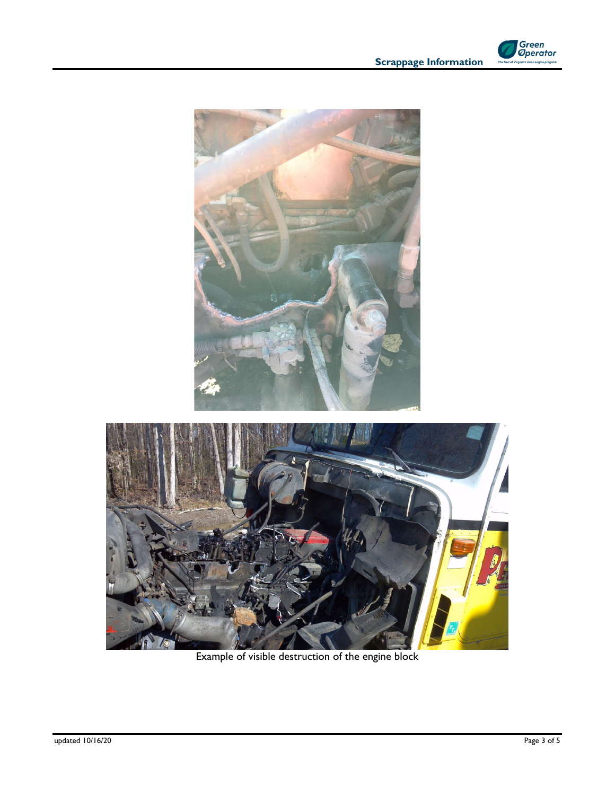

**Scrappage Information** 





Example of visible destruction of the engine block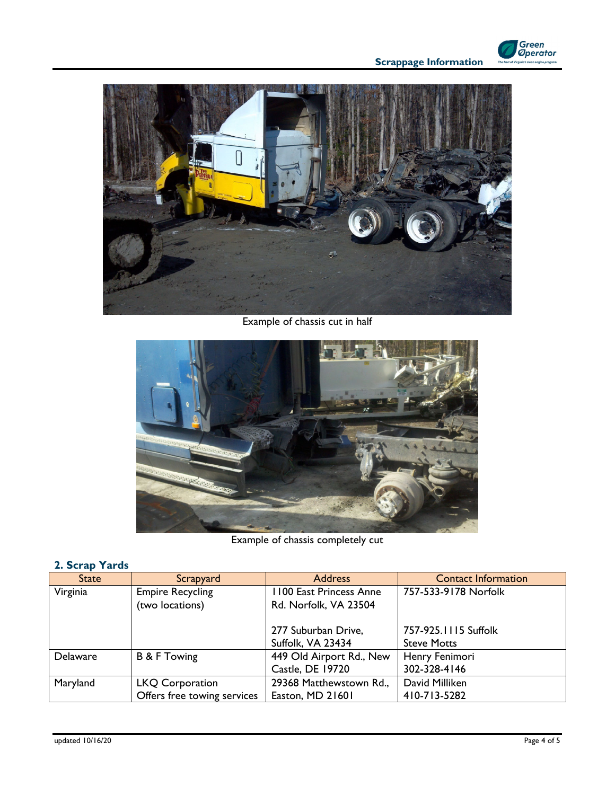



Example of chassis cut in half



Example of chassis completely cut

| $\sim$          |                                                       |                                                     |                                            |
|-----------------|-------------------------------------------------------|-----------------------------------------------------|--------------------------------------------|
| State           | Scrapyard                                             | <b>Address</b>                                      | <b>Contact Information</b>                 |
| Virginia        | <b>Empire Recycling</b><br>(two locations)            | 1100 East Princess Anne<br>Rd. Norfolk, VA 23504    | 757-533-9178 Norfolk                       |
|                 |                                                       | 277 Suburban Drive,<br>Suffolk, VA 23434            | 757-925.1115 Suffolk<br><b>Steve Motts</b> |
| <b>Delaware</b> | <b>B &amp; F Towing</b>                               | 449 Old Airport Rd., New<br><b>Castle, DE 19720</b> | Henry Fenimori<br>302-328-4146             |
| Maryland        | <b>LKQ Corporation</b><br>Offers free towing services | 29368 Matthewstown Rd.,<br>Easton, MD 21601         | David Milliken<br>410-713-5282             |

# **2. Scrap Yards**